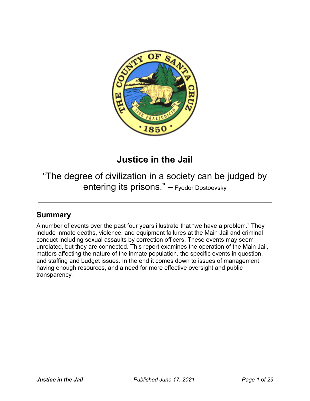

# **Justice in the Jail**

"The degree of civilization in a society can be judged by entering its prisons." – Fyodor Dostoevsky

## **Summary**

A number of events over the past four years illustrate that "we have a problem." They include inmate deaths, violence, and equipment failures at the Main Jail and criminal conduct including sexual assaults by correction officers. These events may seem unrelated, but they are connected. This report examines the operation of the Main Jail, matters affecting the nature of the inmate population, the specific events in question, and staffing and budget issues. In the end it comes down to issues of management, having enough resources, and a need for more effective oversight and public transparency.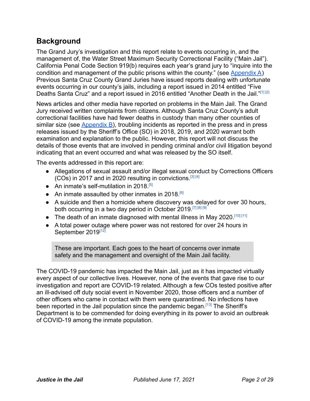## **Background**

The Grand Jury's investigation and this report relate to events occurring in, and the management of, the Water Street Maximum Security Correctional Facility ("Main Jail"). California Penal Code Section 919(b) requires each year's grand jury to "inquire into the condition and management of the public prisons within the county." (see [Appendix A](#page-25-0)) Previous Santa Cruz County Grand Juries have issued reports dealing with unfortunate events occurring in our county's jails, including a report issued in 2014 entitled "Five Deaths Santa Cruz" and a report issued in 2016 entitled "Another Death in the Jail."[\[1\]](#page-18-0) [\[2\]](#page-18-1)

News articles and other media have reported on problems in the Main Jail. The Grand Jury received written complaints from citizens. Although Santa Cruz County's adult correctional facilities have had fewer deaths in custody than many other counties of similar size (see  $\Delta$ ppendix  $B$ ), troubling incidents as reported in the press and in press releases issued by the Sheriff's Office (SO) in 2018, 2019, and 2020 warrant both examination and explanation to the public. However, this report will not discuss the details of those events that are involved in pending criminal and/or civil litigation beyond indicating that an event occurred and what was released by the SO itself.

The events addressed in this report are:

- Allegations of sexual assault and/or illegal sexual conduct by Corrections Officers (COs) in 2017 and in 2020 resulting in convictions.<sup>[\[3\]](#page-18-2) [\[4\]](#page-18-3)</sup>
- An inmate's self-mutilation in 2018.<sup>[\[5\]](#page-18-4)</sup>
- An inmate assaulted by other inmates in 2018.<sup>[\[6\]](#page-18-5)</sup>
- A suicide and then a homicide where discovery was delayed for over 30 hours, both occurring in a two day period in October 2019.[\[7\]](#page-18-6) [\[8\]](#page-19-0) [\[9\]](#page-19-1)
- The death of an inmate diagnosed with mental illness in May 2020.<sup>[\[10\]](#page-19-2) [\[11\]](#page-19-3)</sup>
- A total power outage where power was not restored for over 24 hours in September 2019<sup>[\[12\]](#page-19-4)</sup>

These are important. Each goes to the heart of concerns over inmate safety and the management and oversight of the Main Jail facility.

The COVID-19 pandemic has impacted the Main Jail, just as it has impacted virtually every aspect of our collective lives. However, none of the events that gave rise to our investigation and report are COVID-19 related. Although a few COs tested positive after an ill-advised off duty social event in November 2020, those officers and a number of other officers who came in contact with them were quarantined. No infections have been reported in the Jail population since the pandemic began.<sup>[\[13\]](#page-19-5)</sup> The Sheriff's Department is to be commended for doing everything in its power to avoid an outbreak of COVID-19 among the inmate population.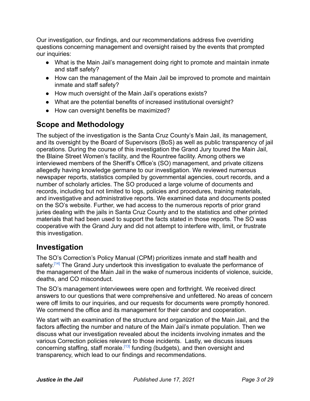Our investigation, our findings, and our recommendations address five overriding questions concerning management and oversight raised by the events that prompted our inquiries:

- What is the Main Jail's management doing right to promote and maintain inmate and staff safety?
- How can the management of the Main Jail be improved to promote and maintain inmate and staff safety?
- How much oversight of the Main Jail's operations exists?
- What are the potential benefits of increased institutional oversight?
- How can oversight benefits be maximized?

## **Scope and Methodology**

The subject of the investigation is the Santa Cruz County's Main Jail, its management, and its oversight by the Board of Supervisors (BoS) as well as public transparency of jail operations. During the course of this investigation the Grand Jury toured the Main Jail, the Blaine Street Women's facility, and the Rountree facility. Among others we interviewed members of the Sheriff's Office's (SO) management, and private citizens allegedly having knowledge germane to our investigation. We reviewed numerous newspaper reports, statistics compiled by governmental agencies, court records, and a number of scholarly articles. The SO produced a large volume of documents and records, including but not limited to logs, policies and procedures, training materials, and investigative and administrative reports. We examined data and documents posted on the SO's website. Further, we had access to the numerous reports of prior grand juries dealing with the jails in Santa Cruz County and to the statistics and other printed materials that had been used to support the facts stated in those reports. The SO was cooperative with the Grand Jury and did not attempt to interfere with, limit, or frustrate this investigation.

## **Investigation**

The SO's Correction's Policy Manual (CPM) prioritizes inmate and staff health and safety.<sup>[\[14\]](#page-19-6)</sup> The Grand Jury undertook this investigation to evaluate the performance of the management of the Main Jail in the wake of numerous incidents of violence, suicide, deaths, and CO misconduct.

The SO's management interviewees were open and forthright. We received direct answers to our questions that were comprehensive and unfettered. No areas of concern were off limits to our inquiries, and our requests for documents were promptly honored. We commend the office and its management for their candor and cooperation.

We start with an examination of the structure and organization of the Main Jail, and the factors affecting the number and nature of the Main Jail's inmate population. Then we discuss what our investigation revealed about the incidents involving inmates and the various Correction policies relevant to those incidents. Lastly, we discuss issues concerning staffing, staff morale.<sup>[\[13\]](#page-19-5)</sup> funding (budgets), and then oversight and transparency, which lead to our findings and recommendations.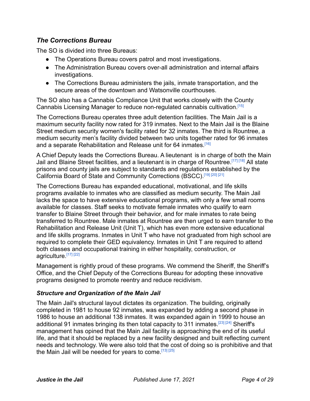### *The Corrections Bureau*

The SO is divided into three Bureaus:

- The Operations Bureau covers patrol and most investigations.
- The Administration Bureau covers over-all administration and internal affairs investigations.
- The Corrections Bureau administers the jails, inmate transportation, and the secure areas of the downtown and Watsonville courthouses.

The SO also has a Cannabis Compliance Unit that works closely with the County Cannabis Licensing Manager to reduce non-regulated cannabis cultivation.[\[15\]](#page-19-7)

The Corrections Bureau operates three adult detention facilities. The Main Jail is a maximum security facility now rated for 319 inmates. Next to the Main Jail is the Blaine Street medium security women's facility rated for 32 inmates. The third is Rountree, a medium security men's facility divided between two units together rated for 96 inmates and a separate Rehabilitation and Release unit for 64 inmates.<sup>[\[16\]](#page-19-8)</sup>

A Chief Deputy leads the Corrections Bureau. A lieutenant is in charge of both the Main Jail and Blaine Street facilities, and a lieutenant is in charge of Rountree.<sup>[\[17\]](#page-19-9) [\[18\]](#page-19-10)</sup> All state prisons and county jails are subject to standards and regulations established by the California Board of State and Community Corrections (BSCC).[\[19\]](#page-19-11) [\[20\]](#page-19-12) [\[21\]](#page-20-0)

The Corrections Bureau has expanded educational, motivational, and life skills programs available to inmates who are classified as medium security. The Main Jail lacks the space to have extensive educational programs, with only a few small rooms available for classes. Staff seeks to motivate female inmates who qualify to earn transfer to Blaine Street through their behavior, and for male inmates to rate being transferred to Rountree. Male inmates at Rountree are then urged to earn transfer to the Rehabilitation and Release Unit (Unit T), which has even more extensive educational and life skills programs. Inmates in Unit T who have not graduated from high school are required to complete their GED equivalency. Inmates in Unit T are required to attend both classes and occupational training in either hospitality, construction, or agriculture.[\[17\]](#page-19-9) [\[22\]](#page-20-1)

Management is rightly proud of these programs. We commend the Sheriff, the Sheriff's Office, and the Chief Deputy of the Corrections Bureau for adopting these innovative programs designed to promote reentry and reduce recidivism.

#### *Structure and Organization of the Main Jail*

The Main Jail's structural layout dictates its organization. The building, originally completed in 1981 to house 92 inmates, was expanded by adding a second phase in 1986 to house an additional 138 inmates. It was expanded again in 1999 to house an additional 91 inmates bringing its then total capacity to 311 inmates.<sup>[\[23\]](#page-20-2) [\[24\]](#page-20-3)</sup> Sheriff's management has opined that the Main Jail facility is approaching the end of its useful life, and that it should be replaced by a new facility designed and built reflecting current needs and technology. We were also told that the cost of doing so is prohibitive and that the Main Jail will be needed for years to come.  $[13]$   $[25]$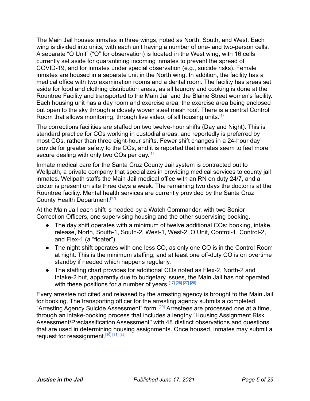The Main Jail houses inmates in three wings, noted as North, South, and West. Each wing is divided into units, with each unit having a number of one- and two-person cells. A separate "O Unit" ("O" for observation) is located in the West wing, with 16 cells currently set aside for quarantining incoming inmates to prevent the spread of COVID-19, and for inmates under special observation (e.g., suicide risks). Female inmates are housed in a separate unit in the North wing. In addition, the facility has a medical office with two examination rooms and a dental room. The facility has areas set aside for food and clothing distribution areas, as all laundry and cooking is done at the Rountree Facility and transported to the Main Jail and the Blaine Street women's facility. Each housing unit has a day room and exercise area, the exercise area being enclosed but open to the sky through a closely woven steel mesh roof. There is a central Control Room that allows monitoring, through live video, of all housing units.<sup>[\[17\]](#page-19-9)</sup>

The corrections facilities are staffed on two twelve-hour shifts (Day and Night). This is standard practice for COs working in custodial areas, and reportedly is preferred by most COs, rather than three eight-hour shifts. Fewer shift changes in a 24-hour day provide for greater safety to the COs, and it is reported that inmates seem to feel more secure dealing with only two COs per day.<sup>[\[17\]](#page-19-9)</sup>

Inmate medical care for the Santa Cruz County Jail system is contracted out to Wellpath, a private company that specializes in providing medical services to county jail inmates. Wellpath staffs the Main Jail medical office with an RN on duty 24/7, and a doctor is present on site three days a week. The remaining two days the doctor is at the Rountree facility. Mental health services are currently provided by the Santa Cruz County Health Department.<sup>[\[17\]](#page-19-9)</sup>

At the Main Jail each shift is headed by a Watch Commander, with two Senior Correction Officers, one supervising housing and the other supervising booking.

- The day shift operates with a minimum of twelve additional COs: booking, intake, release, North, South-1, South-2, West-1, West-2, O Unit, Control-1, Control-2, and Flex-1 (a "floater").
- The night shift operates with one less CO, as only one CO is in the Control Room at night. This is the minimum staffing, and at least one off-duty CO is on overtime standby if needed which happens regularly.
- The staffing chart provides for additional COs noted as Flex-2, North-2 and Intake-2 but, apparently due to budgetary issues, the Main Jail has not operated with these positions for a number of years.<sup>[\[17\]](#page-19-9) [\[26\]](#page-20-5) [\[27\]](#page-20-6) [\[28\]](#page-20-7)</sup>

Every arrestee not cited and released by the arresting agency is brought to the Main Jail for booking. The transporting officer for the arresting agency submits a completed "Arresting Agency Suicide Assessment" form.[\[29\]](#page-20-8) Arrestees are processed one at a time, through an intake-booking process that includes a lengthy "Housing Assignment Risk Assessment/Preclassification Assessment'' with 48 distinct observations and questions that are used in determining housing assignments. Once housed, inmates may submit a request for reassignment.<sup>[\[30\]](#page-20-9) [\[31\]](#page-20-10) [\[32\]](#page-20-11)</sup>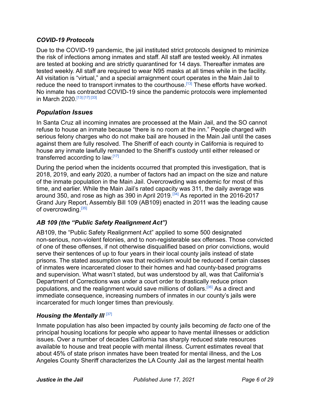#### *COVID-19 Protocols*

Due to the COVID-19 pandemic, the jail instituted strict protocols designed to minimize the risk of infections among inmates and staff. All staff are tested weekly. All inmates are tested at booking and are strictly quarantined for 14 days. Thereafter inmates are tested weekly. All staff are required to wear N95 masks at all times while in the facility. All visitation is "virtual," and a special arraignment court operates in the Main Jail to reduce the need to transport inmates to the courthouse.<sup>[\[13\]](#page-19-5)</sup> These efforts have worked. No inmate has contracted COVID-19 since the pandemic protocols were implemented in March 2020.[\[13\]](#page-19-5) [\[17\]](#page-19-9) [\[33\]](#page-20-12)

### *Population Issues*

In Santa Cruz all incoming inmates are processed at the Main Jail, and the SO cannot refuse to house an inmate because "there is no room at the inn." People charged with serious felony charges who do not make bail are housed in the Main Jail until the cases against them are fully resolved. The Sheriff of each county in California is required to house any inmate lawfully remanded to the Sheriff's custody until either released or transferred according to law [\[17\]](#page-19-9)

During the period when the incidents occurred that prompted this investigation, that is 2018, 2019, and early 2020, a number of factors had an impact on the size and nature of the inmate population in the Main Jail. Overcrowding was endemic for most of this time, and earlier. While the Main Jail's rated capacity was 311, the daily average was around 350, and rose as high as 390 in April 2019.[\[34\]](#page-20-13) As reported in the 2016-2017 Grand Jury Report, Assembly Bill 109 (AB109) enacted in 2011 was the leading cause of overcrowding.<sup>[\[35\]](#page-20-14)</sup>

#### *AB 109 (the "Public Safety Realignment Act")*

AB109, the "Public Safety Realignment Act" applied to some 500 designated non-serious, non-violent felonies, and to non-registerable sex offenses. Those convicted of one of these offenses, if not otherwise disqualified based on prior convictions, would serve their sentences of up to four years in their local county jails instead of state prisons. The stated assumption was that recidivism would be reduced if certain classes of inmates were incarcerated closer to their homes and had county-based programs and supervision. What wasn't stated, but was understood by all, was that California's Department of Corrections was under a court order to drastically reduce prison populations, and the realignment would save millions of dollars.<sup>[\[36\]](#page-20-15)</sup> As a direct and immediate consequence, increasing numbers of inmates in our county's jails were incarcerated for much longer times than previously.

#### *Housing the Mentally Ill* [\[37\]](#page-21-0)

Inmate population has also been impacted by county jails becoming *de facto* one of the principal housing locations for people who appear to have mental illnesses or addiction issues. Over a number of decades California has sharply reduced state resources available to house and treat people with mental illness. Current estimates reveal that about 45% of state prison inmates have been treated for mental illness, and the Los Angeles County Sheriff characterizes the LA County Jail as the largest mental health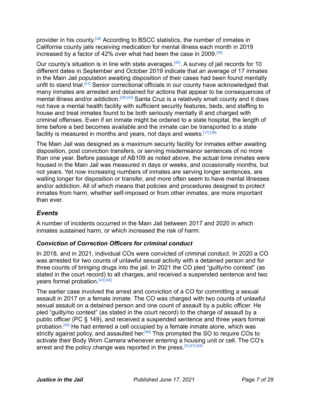provider in his county.<sup>[\[38\]](#page-21-1)</sup> According to BSCC statistics, the number of inmates in California county jails receiving medication for mental illness each month in 2019 increased by a factor of 42% over what had been the case in 2009.<sup>[\[39\]](#page-21-2)</sup>

Our county's situation is in line with state averages.<sup>[\[40\]](#page-21-3)</sup>. A survey of jail records for 10 different dates in September and October 2019 indicate that an average of 17 inmates in the Main Jail population awaiting disposition of their cases had been found mentally unfit to stand trial.<sup>[\[41\]](#page-21-4)</sup> Senior correctional officials in our county have acknowledged that many inmates are arrested and detained for actions that appear to be consequences of mental illness and/or addiction.<sup>[\[28\]](#page-20-7) [\[42\]](#page-21-5)</sup> Santa Cruz is a relatively small county and it does not have a mental health facility with sufficient security features, beds, and staffing to house and treat inmates found to be both seriously mentally ill and charged with criminal offenses. Even if an inmate might be ordered to a state hospital, the length of time before a bed becomes available and the inmate can be transported to a state facility is measured in months and years, not days and weeks.<sup>[\[17\]](#page-19-9) [\[38\]](#page-21-1)</sup>

The Main Jail was designed as a maximum security facility for inmates either awaiting disposition, post conviction transfers, or serving misdemeanor sentences of no more than one year. Before passage of AB109 as noted above, the actual time inmates were housed in the Main Jail was measured in days or weeks, and occasionally months, but not years. Yet now increasing numbers of inmates are serving longer sentences, are waiting longer for disposition or transfer, and more often seem to have mental illnesses and/or addiction. All of which means that policies and procedures designed to protect inmates from harm, whether self-imposed or from other inmates, are more important than ever.

### *Events*

A number of incidents occurred in the Main Jail between 2017 and 2020 in which inmates sustained harm, or which increased the risk of harm.

#### *Conviction of Correction Officers for criminal conduct*

In 2018, and in 2021, individual COs were convicted of criminal conduct. In 2020 a CO was arrested for two counts of unlawful sexual activity with a detained person and for three counts of bringing drugs into the jail. In 2021 the CO pled "guilty/no contest" (as stated in the court record) to all charges, and received a suspended sentence and two years formal probation.<sup>[\[43\]](#page-21-6) [\[44\]](#page-21-7)</sup>

The earlier case involved the arrest and conviction of a CO for committing a sexual assault in 2017 on a female inmate. The CO was charged with two counts of unlawful sexual assault on a detained person and one count of assault by a public officer. He pled "guilty/no contest" (as stated in the court record) to the charge of assault by a public officer (PC § 149), and received a suspended sentence and three years formal probation.[\[45\]](#page-21-8) He had entered a cell occupied by a female inmate alone, which was strictly against policy, and assaulted her.<sup>[\[46\]](#page-21-9)</sup> This prompted the SO to require COs to activate their Body Worn Camera whenever entering a housing unit or cell. The CO's arrest and the policy change was reported in the press.<sup>[\[3\]](#page-18-2) [\[47\]](#page-21-10) [\[48\]](#page-21-11)</sup>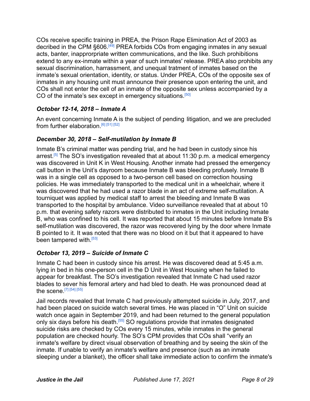COs receive specific training in PREA, the Prison Rape Elimination Act of 2003 as decribed in the CPM §606.<sup>[\[49\]](#page-22-0)</sup> PREA forbids COs from engaging inmates in any sexual acts, banter, inapprorpriate written communications, and the like. Such prohibitions extend to any ex-inmate within a year of such inmates' release. PREA also prohibits any sexual discrimination, harrassment, and unequal tratment of inmates based on the inmate's sexual orientation, identity, or status. Under PREA, COs of the opposite sex of inmates in any housing unit must announce their presence upon entering the unit, and COs shall not enter the cell of an inmate of the opposite sex unless accompanied by a CO of the inmate's sex except in emergency situations.<sup>[\[50\]](#page-22-1)</sup>

#### *October 12-14, 2018 – Inmate A*

An event concerning Inmate A is the subject of pending litigation, and we are precluded from further elaboration.<sup>[\[6\]](#page-18-5) [\[51\]](#page-22-2) [\[52\]](#page-22-3)</sup>

### *December 30, 2018 – Self-mutilation by Inmate B*

Inmate B's criminal matter was pending trial, and he had been in custody since his arrest.<sup>[\[5\]](#page-18-4)</sup> The SO's investigation revealed that at about 11:30 p.m. a medical emergency was discovered in Unit K in West Housing. Another inmate had pressed the emergency call button in the Unit's dayroom because Inmate B was bleeding profusely. Inmate B was in a single cell as opposed to a two-person cell based on correction housing policies. He was immediately transported to the medical unit in a wheelchair, where it was discovered that he had used a razor blade in an act of extreme self-mutilation. A tourniquet was applied by medical staff to arrest the bleeding and Inmate B was transported to the hospital by ambulance. Video surveillance revealed that at about 10 p.m. that evening safety razors were distributed to inmates in the Unit including Inmate B, who was confined to his cell. It was reported that about 15 minutes before Inmate B's self-mutilation was discovered, the razor was recovered lying by the door where Inmate B pointed to it. It was noted that there was no blood on it but that it appeared to have been tampered with.<sup>[\[53\]](#page-22-4)</sup>

### *October 13, 2019 – Suicide of Inmate C*

Inmate C had been in custody since his arrest. He was discovered dead at 5:45 a.m. lying in bed in his one-person cell in the D Unit in West Housing when he failed to appear for breakfast. The SO's investigation revealed that Inmate C had used razor blades to sever his femoral artery and had bled to death. He was pronounced dead at the scene.  $[7]$   $[54]$   $[55]$ 

Jail records revealed that Inmate C had previously attempted suicide in July, 2017, and had been placed on suicide watch several times. He was placed in "O" Unit on suicide watch once again in September 2019, and had been returned to the general population only six days before his death.[\[55\]](#page-22-6) SO regulations provide that inmates designated suicide risks are checked by COs every 15 minutes, while inmates in the general population are checked hourly. The SO's CPM provides that COs shall "verify an inmate's welfare by direct visual observation of breathing and by seeing the skin of the inmate. If unable to verify an inmate's welfare and presence (such as an inmate sleeping under a blanket), the officer shall take immediate action to confirm the inmate's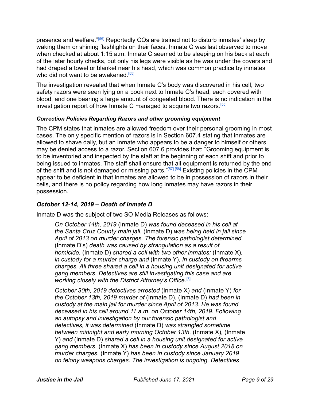presence and welfare."[\[56\]](#page-22-7) Reportedly COs are trained not to disturb inmates' sleep by waking them or shining flashlights on their faces. Inmate C was last observed to move when checked at about 1:15 a.m. Inmate C seemed to be sleeping on his back at each of the later hourly checks, but only his legs were visible as he was under the covers and had draped a towel or blanket near his head, which was common practice by inmates who did not want to be awakened.<sup>[\[55\]](#page-22-6)</sup>

The investigation revealed that when Inmate C's body was discovered in his cell, two safety razors were seen lying on a book next to Inmate C's head, each covered with blood, and one bearing a large amount of congealed blood. There is no indication in the investigation report of how Inmate C managed to acquire two razors.[\[55\]](#page-22-6)

#### *Correction Policies Regarding Razors and other grooming equipment*

The CPM states that inmates are allowed freedom over their personal grooming in most cases. The only specific mention of razors is in Section 607.4 stating that inmates are allowed to shave daily, but an inmate who appears to be a danger to himself or others may be denied access to a razor. Section 607.6 provides that: "Grooming equipment is to be inventoried and inspected by the staff at the beginning of each shift and prior to being issued to inmates. The staff shall ensure that all equipment is returned by the end of the shift and is not damaged or missing parts. "[\[57\]](#page-22-8) [\[58\]](#page-22-9) Existing policies in the CPM appear to be deficient in that inmates are allowed to be in possession of razors in their cells, and there is no policy regarding how long inmates may have razors in their possession.

#### *October 12-14, 2019 – Death of Inmate D*

Inmate D was the subject of two SO Media Releases as follows:

*On October 14th, 2019* (Inmate D) *was found deceased in his cell at the Santa Cruz County main jail.* (Inmate D) *was being held in jail since April of 2013 on murder charges. The forensic pathologist determined* (Inmate D's) *death was caused by strangulation as a result of homicide.* (Inmate D) *shared a cell with two other inmates:* (Inmate X)*, in custody for a murder charge and* (Inmate Y)*, in custody on firearms charges. All three shared a cell in a housing unit designated for active gang members. Detectives are still investigating this case and are working closely with the District Attorney's Office.*[\[8\]](#page-19-0)

*October 30th, 2019 detectives arrested* (Inmate X) *and* (Inmate Y) *for the October 13th, 2019 murder of* (Inmate D)*.* (Inmate D) *had been in custody at the main jail for murder since April of 2013. He was found deceased in his cell around 11 a.m. on October 14th, 2019. Following an autopsy and investigation by our forensic pathologist and detectives, it was determined* (Inmate D) *was strangled sometime between midnight and early morning October 13th.* (Inmate X)*,* (Inmate Y) *and* (Inmate D) *shared a cell in a housing unit designated for active gang members.* (Inmate X) *has been in custody since August 2018 on murder charges.* (Inmate Y) *has been in custody since January 2019 on felony weapons charges. The investigation is ongoing. Detectives*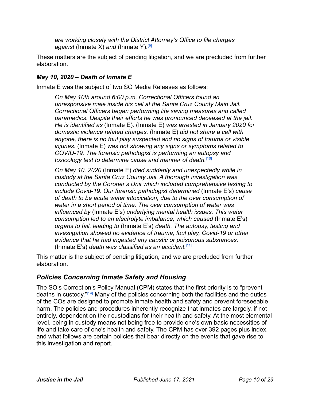*are working closely with the District Attorney's Office to file charges against* (Inmate X) *and* (Inmate Y)*.* [\[9\]](#page-19-1)

These matters are the subject of pending litigation, and we are precluded from further elaboration.

### *May 10, 2020 – Death of Inmate E*

Inmate E was the subject of two SO Media Releases as follows:

*On May 10th around 6:00 p.m. Correctional Officers found an unresponsive male inside his cell at the Santa Cruz County Main Jail. Correctional Officers began performing life saving measures and called paramedics. Despite their efforts he was pronounced deceased at the jail. He is identified as* (Inmate E). (Inmate E) *was arrested in January 2020 for domestic violence related charges.* (Inmate E) *did not share a cell with anyone, there is no foul play suspected and no signs of trauma or visible injuries.* (Inmate E) *was not showing any signs or symptoms related to COVID-19. The forensic pathologist is performing an autopsy and toxicology test to determine cause and manner of death.*[\[10\]](#page-19-2)

*On May 10, 2020* (Inmate E) *died suddenly and unexpectedly while in custody at the Santa Cruz County Jail. A thorough investigation was conducted by the Coroner's Unit which included comprehensive testing to include Covid-19. Our forensic pathologist determined* (Inmate E's) *cause of death to be acute water intoxication, due to the over consumption of water in a short period of time. The over consumption of water was influenced by* (Inmate E's) *underlying mental health issues. This water consumption led to an electrolyte imbalance, which caused* (Inmate E's) *organs to fail, leading to* (Inmate E's) *death. The autopsy, testing and investigation showed no evidence of trauma, foul play, Covid-19 or other evidence that he had ingested any caustic or poisonous substances.* (Inmate E's) *death was classified as an accident.*[\[11\]](#page-19-3)

This matter is the subject of pending litigation, and we are precluded from further elaboration.

### *Policies Concerning Inmate Safety and Housing*

The SO's Correction's Policy Manual (CPM) states that the first priority is to "prevent deaths in custody."[\[14\]](#page-19-6) Many of the policies concerning both the facilities and the duties of the COs are designed to promote inmate health and safety and prevent foreseeable harm. The policies and procedures inherently recognize that inmates are largely, if not entirely, dependent on their custodians for their health and safety. At the most elemental level, being in custody means not being free to provide one's own basic necessities of life and take care of one's health and safety. The CPM has over 392 pages plus index, and what follows are certain policies that bear directly on the events that gave rise to this investigation and report.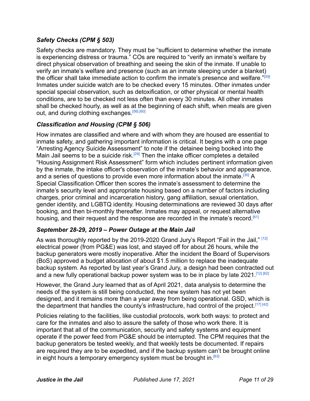### *Safety Checks (CPM § 503)*

Safety checks are mandatory. They must be "sufficient to determine whether the inmate is experiencing distress or trauma." COs are required to "verify an inmate's welfare by direct physical observation of breathing and seeing the skin of the inmate. If unable to verify an inmate's welfare and presence (such as an inmate sleeping under a blanket) the officer shall take immediate action to confirm the inmate's presence and welfare."<sup>[\[59\]](#page-22-10)</sup> Inmates under suicide watch are to be checked every 15 minutes. Other inmates under special special observation, such as detoxification, or other physical or mental health conditions, are to be checked not less often than every 30 minutes. All other inmates shall be checked hourly, as well as at the beginning of each shift, when meals are given out, and during clothing exchanges.<sup>[\[56\]](#page-22-7) [\[60\]](#page-22-11)</sup>

#### *Classification and Housing (CPM § 506)*

How inmates are classified and where and with whom they are housed are essential to inmate safety, and gathering important information is critical. It begins with a one page "Arresting Agency Suicide Assessment" to note if the detainee being booked into the Main Jail seems to be a suicide risk.<sup>[\[29\]](#page-20-8)</sup> Then the intake officer completes a detailed "Housing Assignment Risk Assessment" form which includes pertinent information given by the inmate, the intake officer's observation of the inmate's behavior and appearance, and a series of questions to provide even more information about the inmate.<sup>[\[30\]](#page-20-9)</sup> A Special Classification Officer then scores the inmate's assessment to determine the inmate's security level and appropriate housing based on a number of factors including charges, prior criminal and incarceration history, gang affiliation, sexual orientation, gender identity, and LGBTQ identity. Housing determinations are reviewed 30 days after booking, and then bi-monthly thereafter. Inmates may appeal, or request alternative housing, and their request and the response are recorded in the inmate's record.<sup>[\[61\]](#page-23-0)</sup>

#### *September 28-29, 2019 – Power Outage at the Main Jail*

As was thoroughly reported by the 2019-2020 Grand Jury's Report "Fail in the Jail," [\[12\]](#page-19-4) electrical power (from PG&E) was lost, and stayed off for about 26 hours, while the backup generators were mostly inoperative. After the incident the Board of Supervisors (BoS) approved a budget allocation of about \$1.5 million to replace the inadequate backup system. As reported by last year's Grand Jury, a design had been contracted out and a new fully operational backup power system was to be in place by late 2021.<sup>[\[12\]](#page-19-4) [\[62\]](#page-23-1)</sup>

However, the Grand Jury learned that as of April 2021, data analysis to determine the needs of the system is still being conducted, the new system has not yet been designed, and it remains more than a year away from being operational. GSD, which is the department that handles the county's infrastructure, had control of the project.<sup>[\[17\]](#page-19-9) [\[42\]](#page-21-5)</sup>

Policies relating to the facilities, like custodial protocols, work both ways: to protect and care for the inmates and also to assure the safety of those who work there. It is important that all of the communication, security and safety systems and equipment operate if the power feed from PG&E should be interrupted. The CPM requires that the backup generators be tested weekly, and that weekly tests be documented. If repairs are required they are to be expedited, and if the backup system can't be brought online in eight hours a temporary emergency system must be brought in.  $[63]$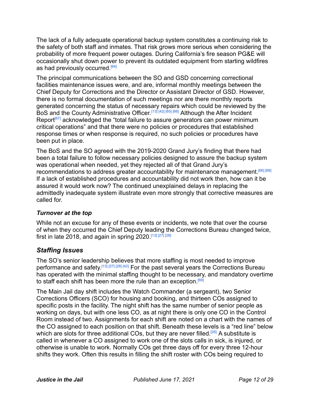The lack of a fully adequate operational backup system constitutes a continuing risk to the safety of both staff and inmates. That risk grows more serious when considering the probability of more frequent power outages. During California's fire season PG&E will occasionally shut down power to prevent its outdated equipment from starting wildfires as had previously occurred.<sup>[\[64\]](#page-23-3)</sup>

The principal communications between the SO and GSD concerning correctional facilities maintenance issues were, and are, informal monthly meetings between the Chief Deputy for Corrections and the Director or Assistant Director of GSD. However, there is no formal documentation of such meetings nor are there monthly reports generated concerning the status of necessary repairs which could be reviewed by the BoS and the County Administrative Officer [\[13\]](#page-19-5) [\[42\]](#page-21-5) [\[65\]](#page-23-4) [\[66\]](#page-23-5) Although the After Incident Report<sup>[\[67\]](#page-23-6)</sup> acknowledged the "total failure to assure generators can power minimum critical operations" and that there were no policies or procedures that established response times or when response is required, no such policies or procedures have been put in place.

The BoS and the SO agreed with the 2019-2020 Grand Jury's finding that there had been a total failure to follow necessary policies designed to assure the backup system was operational when needed, yet they rejected all of that Grand Jury's recommendations to address greater accountability for maintenance management.<sup>[\[66\]](#page-23-5) [\[68\]](#page-23-7)</sup> If a lack of established procedures and accountability did not work then, how can it be assured it would work now? The continued unexplained delays in replacing the admittedly inadequate system illustrate even more strongly that corrective measures are called for.

#### *Turnover at the top*

While not an excuse for any of these events or incidents, we note that over the course of when they occurred the Chief Deputy leading the Corrections Bureau changed twice, first in late 2018, and again in spring 2020.<sup>[\[13\]](#page-19-5) [\[27\]](#page-20-6)</sup> [\[28\]](#page-20-7)

## *Staffing Issues*

The SO's senior leadership believes that more staffing is most needed to improve performance and safety.<sup>[\[13\]](#page-19-5) [\[27\]](#page-20-6) [\[28\]](#page-20-7) [\[42\]](#page-21-5)</sup> For the past several years the Corrections Bureau has operated with the minimal staffing thought to be necessary, and mandatory overtime to staff each shift has been more the rule than an exception.<sup>[\[69\]](#page-23-8)</sup>

The Main Jail day shift includes the Watch Commander (a sergeant), two Senior Corrections Officers (SCO) for housing and booking, and thirteen COs assigned to specific posts in the facility. The night shift has the same number of senior people as working on days, but with one less CO, as at night there is only one CO in the Control Room instead of two. Assignments for each shift are noted on a chart with the names of the CO assigned to each position on that shift. Beneath these levels is a "red line" below which are slots for three additional COs, but they are never filled.<sup>[\[26\]](#page-20-5)</sup> A substitute is called in whenever a CO assigned to work one of the slots calls in sick, is injured, or otherwise is unable to work. Normally COs get three days off for every three 12-hour shifts they work. Often this results in filling the shift roster with COs being required to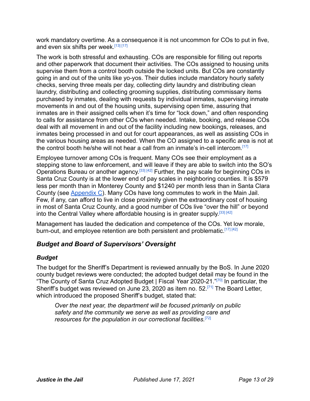work mandatory overtime. As a consequence it is not uncommon for COs to put in five, and even six shifts per week.<sup>[\[13\]](#page-19-5) [\[17\]](#page-19-9)</sup>

The work is both stressful and exhausting. COs are responsible for filling out reports and other paperwork that document their activities. The COs assigned to housing units supervise them from a control booth outside the locked units. But COs are constantly going in and out of the units like yo-yos. Their duties include mandatory hourly safety checks, serving three meals per day, collecting dirty laundry and distributing clean laundry, distributing and collecting grooming supplies, distributing commissary items purchased by inmates, dealing with requests by individual inmates, supervising inmate movements in and out of the housing units, supervising open time, assuring that inmates are in their assigned cells when it's time for "lock down," and often responding to calls for assistance from other COs when needed. Intake, booking, and release COs deal with all movement in and out of the facility including new bookings, releases, and inmates being processed in and out for court appearances, as well as assisting COs in the various housing areas as needed. When the CO assigned to a specific area is not at the control booth he/she will not hear a call from an inmate's in-cell intercom.<sup>[\[17\]](#page-19-9)</sup>

Employee turnover among COs is frequent. Many COs see their employment as a stepping stone to law enforcement, and will leave if they are able to switch into the SO's Operations Bureau or another agency.<sup>[\[33\]](#page-20-12) [\[42\]](#page-21-5)</sup> Further, the pay scale for beginning COs in Santa Cruz County is at the lower end of pay scales in neighboring counties. It is \$579 less per month than in Monterey County and \$1240 per month less than in Santa Clara County (see [Appendix C](#page-27-0)). Many COs have long commutes to work in the Main Jail. Few, if any, can afford to live in close proximity given the extraordinary cost of housing in most of Santa Cruz County, and a good number of COs live "over the hill" or beyond into the Central Valley where affordable housing is in greater supply.<sup>[\[33\]](#page-20-12) [\[42\]](#page-21-5)</sup>

Management has lauded the dedication and competence of the COs. Yet low morale, burn-out, and employee retention are both persistent and problematic.<sup>[\[17\]](#page-19-9) [\[42\]](#page-21-5)</sup>

### *Budget and Board of Supervisors' Oversight*

#### *Budget*

The budget for the Sheriff's Department is reviewed annually by the BoS. In June 2020 county budget reviews were conducted; the adopted budget detail may be found in the "The County of Santa Cruz Adopted Budget | Fiscal Year 2020-21."<sup>[\[70\]](#page-23-9)</sup> In particular, the Sheriff's budget was reviewed on June 23, 2020 as item no. 52.[\[71\]](#page-23-10) The Board Letter, which introduced the proposed Sheriff's budget, stated that:

*Over the next year, the department will be focused primarily on public safety and the community we serve as well as providing care and resources for the population in our correctional facilities.*[\[72\]](#page-23-11)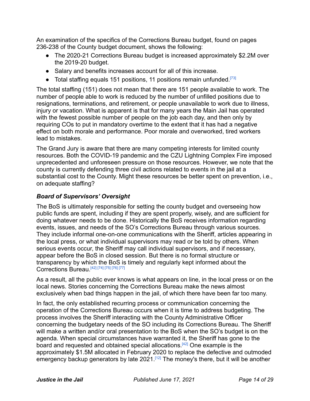An examination of the specifics of the Corrections Bureau budget, found on pages 236-238 of the County budget document, shows the following:

- The 2020-21 Corrections Bureau budget is increased approximately \$2.2M over the 2019-20 budget.
- Salary and benefits increases account for all of this increase.
- Total staffing equals 151 positions, 11 positions remain unfunded.<sup>[\[73\]](#page-23-12)</sup>

The total staffing (151) does not mean that there are 151 people available to work. The number of people able to work is reduced by the number of unfilled positions due to resignations, terminations, and retirement, or people unavailable to work due to illness, injury or vacation. What is apparent is that for many years the Main Jail has operated with the fewest possible number of people on the job each day, and then only by requiring COs to put in mandatory overtime to the extent that it has had a negative effect on both morale and performance. Poor morale and overworked, tired workers lead to mistakes.

The Grand Jury is aware that there are many competing interests for limited county resources. Both the COVID-19 pandemic and the CZU Lightning Complex Fire imposed unprecedented and unforeseen pressure on those resources. However, we note that the county is currently defending three civil actions related to events in the jail at a substantial cost to the County. Might these resources be better spent on prevention, i.e., on adequate staffing?

#### *Board of Supervisors' Oversight*

The BoS is ultimately responsible for setting the county budget and overseeing how public funds are spent, including if they are spent properly, wisely, and are sufficient for doing whatever needs to be done. Historically the BoS receives information regarding events, issues, and needs of the SO's Corrections Bureau through various sources. They include informal one-on-one communications with the Sheriff, articles appearing in the local press, or what individual supervisors may read or be told by others. When serious events occur, the Sheriff may call individual supervisors, and if necessary, appear before the BoS in closed session. But there is no formal structure or transparency by which the BoS is timely and regularly kept informed about the Corrections Bureau.[\[42\]](#page-21-5) [\[74\]](#page-24-0) [\[75\]](#page-24-1) [\[76\]](#page-24-2) [\[77\]](#page-24-3)

As a result, all the public ever knows is what appears on line, in the local press or on the local news. Stories concerning the Corrections Bureau make the news almost exclusively when bad things happen in the jail, of which there have been far too many.

In fact, the only established recurring process or communication concerning the operation of the Corrections Bureau occurs when it is time to address budgeting. The process involves the Sheriff interacting with the County Administrative Officer concerning the budgetary needs of the SO including its Corrections Bureau. The Sheriff will make a written and/or oral presentation to the BoS when the SO's budget is on the agenda. When special circumstances have warranted it, the Sheriff has gone to the board and requested and obtained special allocations.[\[42\]](#page-21-5) One example is the approximately \$1.5M allocated in February 2020 to replace the defective and outmoded emergency backup generators by late 2021.<sup>[\[12\]](#page-19-4)</sup> The money's there, but it will be another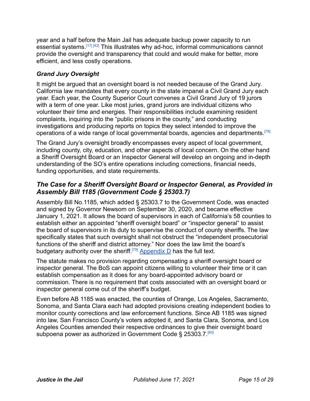year and a half before the Main Jail has adequate backup power capacity to run essential systems.<sup>[\[17\]](#page-19-9) [\[42\]](#page-21-5)</sup> This illustrates why ad-hoc, informal communications cannot provide the oversight and transparency that could and would make for better, more efficient, and less costly operations.

#### *Grand Jury Oversight*

It might be argued that an oversight board is not needed because of the Grand Jury. California law mandates that every county in the state impanel a Civil Grand Jury each year. Each year, the County Superior Court convenes a Civil Grand Jury of 19 jurors with a term of one year. Like most juries, grand jurors are individual citizens who volunteer their time and energies. Their responsibilities include examining resident complaints, inquiring into the "public prisons in the county," and conducting investigations and producing reports on topics they select intended to improve the operations of a wide range of local governmental boards, agencies and departments.<sup>[\[78\]](#page-24-4)</sup>

The Grand Jury's oversight broadly encompasses every aspect of local government, including county, city, education, and other aspects of local concern. On the other hand a Sheriff Oversight Board or an Inspector General will develop an ongoing and in-depth understanding of the SO's entire operations including corrections, financial needs, funding opportunities, and state requirements.

### *The Case for a Sheriff Oversight Board or Inspector General, as Provided in Assembly Bill 1185 (Government Code § 25303.7)*

Assembly Bill No.1185, which added § 25303.7 to the Government Code, was enacted and signed by Governor Newsom on September 30, 2020, and became effective January 1, 2021. It allows the board of supervisors in each of California's 58 counties to establish either an appointed "sheriff oversight board" or "inspector general" to assist the board of supervisors in its duty to supervise the conduct of county sheriffs. The law specifically states that such oversight shall not obstruct the "independent prosecutorial functions of the sheriff and district attorney." Nor does the law limit the board's budgetary authority over the sheriff.<sup>[\[79\]](#page-24-5)</sup> [Appendix](#page-28-0) D has the full text.

The statute makes no provision regarding compensating a sheriff oversight board or inspector general. The BoS can appoint citizens willing to volunteer their time or it can establish compensation as it does for any board-appointed advisory board or commission. There is no requirement that costs associated with an oversight board or inspector general come out of the sheriff's budget.

Even before AB 1185 was enacted, the counties of Orange, Los Angeles, Sacramento, Sonoma, and Santa Clara each had adopted provisions creating independent bodies to monitor county corrections and law enforcement functions. Since AB 1185 was signed into law, San Francisco County's voters adopted it, and Santa Clara, Sonoma, and Los Angeles Counties amended their respective ordinances to give their oversight board subpoena power as authorized in Government Code § 25303.7<sup>[\[80\]](#page-24-6)</sup>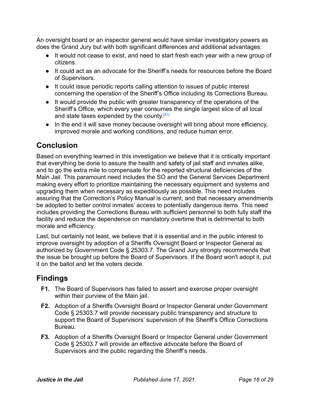An oversight board or an inspector general would have similar investigatory powers as does the Grand Jury but with both significant differences and additional advantages:

- It would not cease to exist, and need to start fresh each year with a new group of citizens.
- It could act as an advocate for the Sheriff's needs for resources before the Board of Supervisors.
- It could issue periodic reports calling attention to issues of public interest concerning the operation of the Sheriff's Office including its Corrections Bureau.
- It would provide the public with greater transparency of the operations of the Sheriff's Office, which every year consumes the single largest slice of all local and state taxes expended by the county.<sup>[\[81\]](#page-24-7)</sup>
- In the end it will save money because oversight will bring about more efficiency, improved morale and working conditions, and reduce human error.

## **Conclusion**

Based on everything learned in this investigation we believe that it is critically important that everything be done to assure the health and safety of jail staff and inmates alike, and to go the extra mile to compensate for the reported structural deficiencies of the Main Jail. This paramount need includes the SO and the General Services Department making every effort to prioritize maintaining the necessary equipment and systems and upgrading them when necessary as expeditiously as possible. This need includes assuring that the Correction's Policy Manual is current, and that necessary amendments be adopted to better control inmates' access to potentially dangerous items. This need includes providing the Corrections Bureau with sufficient personnel to both fully staff the facility and reduce the dependence on mandatory overtime that is detrimental to both morale and efficiency.

Last, but certainly not least, we believe that it is essential and in the public interest to improve oversight by adoption of a Sheriffs Oversight Board or Inspector General as authorized by Government Code § 25303.7. The Grand Jury strongly recommends that the issue be brought up before the Board of Supervisors. If the Board won't adopt it, put it on the ballot and let the voters decide.

## **Findings**

- **F1.** The Board of Supervisors has failed to assert and exercise proper oversight within their purview of the Main jail.
- **F2.** Adoption of a Sheriffs Oversight Board or Inspector General under Government Code § 25303.7 will provide necessary public transparency and structure to support the Board of Supervisors' supervision of the Sheriff's Office Corrections Bureau.
- **F3.** Adoption of a Sheriffs Oversight Board or Inspector General under Government Code § 25303.7 will provide an effective advocate before the Board of Supervisors and the public regarding the Sheriff's needs.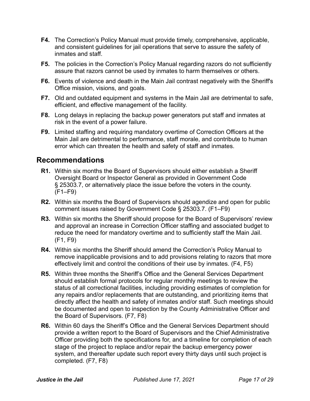- **F4.** The Correction's Policy Manual must provide timely, comprehensive, applicable, and consistent guidelines for jail operations that serve to assure the safety of inmates and staff.
- **F5.** The policies in the Correction's Policy Manual regarding razors do not sufficiently assure that razors cannot be used by inmates to harm themselves or others.
- **F6.** Events of violence and death in the Main Jail contrast negatively with the Sheriff's Office mission, visions, and goals.
- **F7.** Old and outdated equipment and systems in the Main Jail are detrimental to safe, efficient, and effective management of the facility.
- **F8.** Long delays in replacing the backup power generators put staff and inmates at risk in the event of a power failure.
- **F9.** Limited staffing and requiring mandatory overtime of Correction Officers at the Main Jail are detrimental to performance, staff morale, and contribute to human error which can threaten the health and safety of staff and inmates.

## **Recommendations**

- **R1.** Within six months the Board of Supervisors should either establish a Sheriff Oversight Board or Inspector General as provided in Government Code § 25303.7, or alternatively place the issue before the voters in the county. (F1–F9)
- **R2.** Within six months the Board of Supervisors should agendize and open for public comment issues raised by Government Code § 25303.7. (F1–F9)
- **R3.** Within six months the Sheriff should propose for the Board of Supervisors' review and approval an increase in Correction Officer staffing and associated budget to reduce the need for mandatory overtime and to sufficiently staff the Main Jail. (F1, F9)
- **R4.** Within six months the Sheriff should amend the Correction's Policy Manual to remove inapplicable provisions and to add provisions relating to razors that more effectively limit and control the conditions of their use by inmates. (F4, F5)
- **R5.** Within three months the Sheriff's Office and the General Services Department should establish formal protocols for regular monthly meetings to review the status of all correctional facilities, including providing estimates of completion for any repairs and/or replacements that are outstanding, and prioritizing items that directly affect the health and safety of inmates and/or staff. Such meetings should be documented and open to inspection by the County Administrative Officer and the Board of Supervisors. (F7, F8)
- **R6.** Within 60 days the Sheriff's Office and the General Services Department should provide a written report to the Board of Supervisors and the Chief Administrative Officer providing both the specifications for, and a timeline for completion of each stage of the project to replace and/or repair the backup emergency power system, and thereafter update such report every thirty days until such project is completed. (F7, F8)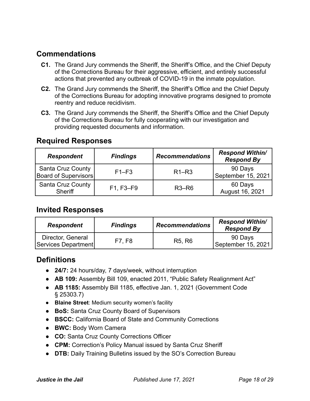## **Commendations**

- **C1.** The Grand Jury commends the Sheriff, the Sheriff's Office, and the Chief Deputy of the Corrections Bureau for their aggressive, efficient, and entirely successful actions that prevented any outbreak of COVID-19 in the inmate population.
- **C2.** The Grand Jury commends the Sheriff, the Sheriff's Office and the Chief Deputy of the Corrections Bureau for adopting innovative programs designed to promote reentry and reduce recidivism.
- **C3.** The Grand Jury commends the Sheriff, the Sheriff's Office and the Chief Deputy of the Corrections Bureau for fully cooperating with our investigation and providing requested documents and information.

## **Required Responses**

| <b>Respondent</b>                                | <b>Findings</b> | <b>Recommendations</b> | <b>Respond Within/</b><br><b>Respond By</b> |
|--------------------------------------------------|-----------------|------------------------|---------------------------------------------|
| <b>Santa Cruz County</b><br>Board of Supervisors | $F1-F3$         | $R1-R3$                | 90 Days<br>September 15, 2021               |
| <b>Santa Cruz County</b><br><b>Sheriff</b>       | F1, F3-F9       | $R3-R6$                | 60 Days<br>August 16, 2021                  |

## **Invited Responses**

| <b>Respondent</b>                        | <b>Findings</b> | <b>Recommendations</b>          | <b>Respond Within/</b><br><b>Respond By</b> |
|------------------------------------------|-----------------|---------------------------------|---------------------------------------------|
| Director, General<br>Services Department | F7. F8          | R <sub>5</sub> , R <sub>6</sub> | 90 Days<br>September 15, 2021               |

## **Definitions**

- **24/7:** 24 hours/day, 7 days/week, without interruption
- **AB 109:** Assembly Bill 109, enacted 2011, "Public Safety Realignment Act"
- **AB 1185:** Assembly Bill 1185, effective Jan. 1, 2021 (Government Code § 25303.7)
- **Blaine Street**: Medium security women's facility
- **BoS:** Santa Cruz County Board of Supervisors
- **BSCC:** California Board of State and Community Corrections
- **BWC:** Body Worn Camera
- **CO:** Santa Cruz County Corrections Officer
- **CPM:** Correction's Policy Manual issued by Santa Cruz Sheriff
- **DTB:** Daily Training Bulletins issued by the SO's Correction Bureau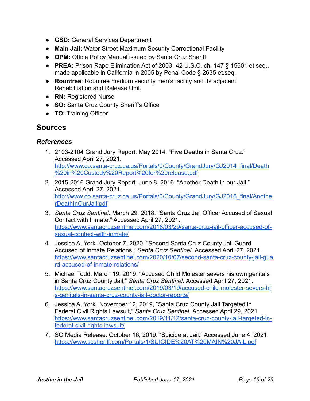- **GSD:** General Services Department
- **Main Jail:** Water Street Maximum Security Correctional Facility
- **OPM:** Office Policy Manual issued by Santa Cruz Sheriff
- **PREA:** Prison Rape Elimination Act of 2003, 42 U.S.C. ch. 147 § 15601 et seq., made applicable in California in 2005 by Penal Code § 2635 et.seq.
- **Rountree**: Rountree medium security men's facility and its adjacent Rehabilitation and Release Unit.
- **RN:** Registered Nurse
- **SO:** Santa Cruz County Sheriff's Office
- **TO:** Training Officer

## **Sources**

#### *References*

- <span id="page-18-0"></span>1. 2103-2104 Grand Jury Report. May 2014. "Five Deaths in Santa Cruz." Accessed April 27, 2021. [http://www.co.santa-cruz.ca.us/Portals/0/County/GrandJury/GJ2014\\_final/Death](http://www.co.santa-cruz.ca.us/Portals/0/County/GrandJury/GJ2014_final/Death%20in%20Custody%20Report%20for%20release.pdf) [%20in%20Custody%20Report%20for%20release.pdf](http://www.co.santa-cruz.ca.us/Portals/0/County/GrandJury/GJ2014_final/Death%20in%20Custody%20Report%20for%20release.pdf)
- <span id="page-18-1"></span>2. 2015-2016 Grand Jury Report. June 8, 2016. "Another Death in our Jail." Accessed April 27, 2021. [http://www.co.santa-cruz.ca.us/Portals/0/County/GrandJury/GJ2016\\_final/Anothe](http://www.co.santa-cruz.ca.us/Portals/0/County/GrandJury/GJ2016_final/AnotherDeathInOurJail.pdf) [rDeathInOurJail.pdf](http://www.co.santa-cruz.ca.us/Portals/0/County/GrandJury/GJ2016_final/AnotherDeathInOurJail.pdf)
- <span id="page-18-2"></span>3. *Santa Cruz Sentinel*. March 29, 2018. "Santa Cruz Jail Officer Accused of Sexual Contact with Inmate." Accessed April 27, 2021. [https://www.santacruzsentinel.com/2018/03/29/santa-cruz-jail-officer-accused-of](https://www.santacruzsentinel.com/2018/03/29/santa-cruz-jail-officer-accused-of-sexual-contact-with-inmate/)[sexual-contact-with-inmate/](https://www.santacruzsentinel.com/2018/03/29/santa-cruz-jail-officer-accused-of-sexual-contact-with-inmate/)
- <span id="page-18-3"></span>4. Jessica A. York. October 7, 2020. "Second Santa Cruz County Jail Guard Accused of Inmate Relations," *Santa Cruz Sentinel*. Accessed April 27, 2021. [https://www.santacruzsentinel.com/2020/10/07/second-santa-cruz-county-jail-gua](https://www.santacruzsentinel.com/2020/10/07/second-santa-cruz-county-jail-guard-accused-of-inmate-relations/) [rd-accused-of-inmate-relations/](https://www.santacruzsentinel.com/2020/10/07/second-santa-cruz-county-jail-guard-accused-of-inmate-relations/)
- <span id="page-18-4"></span>5. Michael Todd. March 19, 2019. "Accused Child Molester severs his own genitals in Santa Cruz County Jail," *Santa Cruz Sentinel*. Accessed April 27, 2021. [https://www.santacruzsentinel.com/2019/03/19/accused-child-molester-severs-hi](https://www.santacruzsentinel.com/2019/03/19/accused-child-molester-severs-his-genitals-in-santa-cruz-county-jail-doctor-reports/) [s-genitals-in-santa-cruz-county-jail-doctor-reports/](https://www.santacruzsentinel.com/2019/03/19/accused-child-molester-severs-his-genitals-in-santa-cruz-county-jail-doctor-reports/)
- <span id="page-18-5"></span>6. Jessica A. York. November 12, 2019, "Santa Cruz County Jail Targeted in Federal Civil Rights Lawsuit," *Santa Cruz Sentinel*. Accessed April 29, 2021 [https://www.santacruzsentinel.com/2019/11/12/santa-cruz-county-jail-targeted-in](https://www.santacruzsentinel.com/2019/11/12/santa-cruz-county-jail-targeted-in-federal-civil-rights-lawsuit/)[federal-civil-rights-lawsuit/](https://www.santacruzsentinel.com/2019/11/12/santa-cruz-county-jail-targeted-in-federal-civil-rights-lawsuit/)
- <span id="page-18-6"></span>7. SO Media Release. October 16, 2019. "Suicide at Jail." Accessed June 4, 2021. <https://www.scsheriff.com/Portals/1/SUICIDE%20AT%20MAIN%20JAIL.pdf>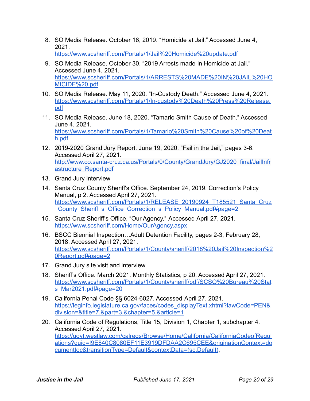- <span id="page-19-0"></span>8. SO Media Release. October 16, 2019. "Homicide at Jail." Accessed June 4, 2021. <https://www.scsheriff.com/Portals/1/Jail%20Homicide%20update.pdf>
- <span id="page-19-1"></span>9. SO Media Release. October 30. "2019 Arrests made in Homicide at Jail." Accessed June 4, 2021. [https://www.scsheriff.com/Portals/1/ARRESTS%20MADE%20IN%20JAIL%20HO](https://www.scsheriff.com/Portals/1/ARRESTS%20MADE%20IN%20JAIL%20HOMICIDE%20.pdf) [MICIDE%20.pdf](https://www.scsheriff.com/Portals/1/ARRESTS%20MADE%20IN%20JAIL%20HOMICIDE%20.pdf)
- <span id="page-19-2"></span>10. SO Media Release. May 11, 2020. "In-Custody Death." Accessed June 4, 2021. [https://www.scsheriff.com/Portals/1/In-custody%20Death%20Press%20Release.](https://www.scsheriff.com/Portals/1/In-custody%20Death%20Press%20Release.pdf) [pdf](https://www.scsheriff.com/Portals/1/In-custody%20Death%20Press%20Release.pdf)
- <span id="page-19-3"></span>11. SO Media Release. June 18, 2020. "Tamario Smith Cause of Death." Accessed June 4, 2021. [https://www.scsheriff.com/Portals/1/Tamario%20Smith%20Cause%20of%20Deat](https://www.scsheriff.com/Portals/1/Tamario%20Smith%20Cause%20of%20Death.pdf) [h.pdf](https://www.scsheriff.com/Portals/1/Tamario%20Smith%20Cause%20of%20Death.pdf)
- <span id="page-19-4"></span>12. 2019-2020 Grand Jury Report. June 19, 2020. "Fail in the Jail," pages 3-6. Accessed April 27, 2021. [http://www.co.santa-cruz.ca.us/Portals/0/County/GrandJury/GJ2020\\_final/JailInfr](http://www.co.santa-cruz.ca.us/Portals/0/County/GrandJury/GJ2020_final/JailInfrastructure_Report.pdf) [astructure\\_Report.pdf](http://www.co.santa-cruz.ca.us/Portals/0/County/GrandJury/GJ2020_final/JailInfrastructure_Report.pdf)
- <span id="page-19-5"></span>13. Grand Jury interview
- <span id="page-19-6"></span>14. Santa Cruz County Sheriff's Office. September 24, 2019. Correction's Policy Manual, p 2. Accessed April 27, 2021. [https://www.scsheriff.com/Portals/1/RELEASE\\_20190924\\_T185521\\_Santa\\_Cruz](https://www.scsheriff.com/Portals/1/RELEASE_20190924_T185521_Santa_Cruz_County_Sheriff_s_Office_Correction_s_Policy_Manual.pdf#page=2) County\_Sheriff\_s\_Office\_Correction\_s\_Policy\_Manual.pdf#page=2
- <span id="page-19-7"></span>15. Santa Cruz Sheriff's Office, "Our Agency." Accessed April 27, 2021. <https://www.scsheriff.com/Home/OurAgency.aspx>
- <span id="page-19-8"></span>16. BSCC Biennial Inspection…Adult Detention Facility, pages 2-3, February 28, 2018. Accessed April 27, 2021. [https://www.scsheriff.com/Portals/1/County/sheriff/2018%20Jail%20Inspection%2](https://www.scsheriff.com/Portals/1/County/sheriff/2018%20Jail%20Inspection%20Report.pdf#page=2) [0Report.pdf#page=2](https://www.scsheriff.com/Portals/1/County/sheriff/2018%20Jail%20Inspection%20Report.pdf#page=2)
- <span id="page-19-9"></span>17. Grand Jury site visit and interview
- <span id="page-19-10"></span>18. Sheriff's Office. March 2021. Monthly Statistics, p 20. Accessed April 27, 2021. [https://www.scsheriff.com/Portals/1/County/sheriff/pdf/SCSO%20Bureau%20Stat](https://www.scsheriff.com/Portals/1/County/sheriff/pdf/SCSO%20Bureau%20Stats_Mar2021.pdf#page=20) [s\\_Mar2021.pdf#page=20](https://www.scsheriff.com/Portals/1/County/sheriff/pdf/SCSO%20Bureau%20Stats_Mar2021.pdf#page=20)
- <span id="page-19-11"></span>19. California Penal Code §§ 6024-6027. Accessed April 27, 2021. [https://leginfo.legislature.ca.gov/faces/codes\\_displayText.xhtml?lawCode=PEN&](https://leginfo.legislature.ca.gov/faces/codes_displayText.xhtml?lawCode=PEN&division=&title=7.&part=3.&chapter=5.&article=1) [division=&title=7.&part=3.&chapter=5.&article=1](https://leginfo.legislature.ca.gov/faces/codes_displayText.xhtml?lawCode=PEN&division=&title=7.&part=3.&chapter=5.&article=1)
- <span id="page-19-12"></span>20. California Code of Regulations, Title 15, Division 1, Chapter 1, subchapter 4. Accessed April 27, 2021. [https://govt.westlaw.com/calregs/Browse/Home/California/CaliforniaCodeofRegul](https://govt.westlaw.com/calregs/Browse/Home/California/CaliforniaCodeofRegulations?guid=I9E840C8080EF11E3919DFDAA2C695CEE&originationContext=documenttoc&transitionType=Default&contextData=(sc.Default)) [ations?guid=I9E840C8080EF11E3919DFDAA2C695CEE&originationContext=do](https://govt.westlaw.com/calregs/Browse/Home/California/CaliforniaCodeofRegulations?guid=I9E840C8080EF11E3919DFDAA2C695CEE&originationContext=documenttoc&transitionType=Default&contextData=(sc.Default)) [cumenttoc&transitionType=Default&contextData=\(sc.Default\)](https://govt.westlaw.com/calregs/Browse/Home/California/CaliforniaCodeofRegulations?guid=I9E840C8080EF11E3919DFDAA2C695CEE&originationContext=documenttoc&transitionType=Default&contextData=(sc.Default)),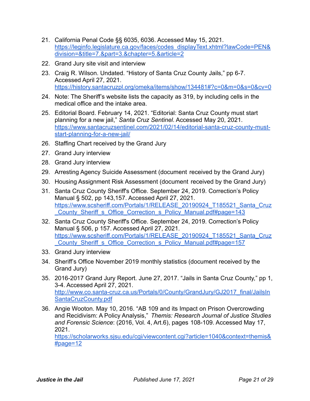- <span id="page-20-0"></span>21. California Penal Code §§ 6035, 6036. Accessed May 15, 2021. [https://leginfo.legislature.ca.gov/faces/codes\\_displayText.xhtml?lawCode=PEN&](https://leginfo.legislature.ca.gov/faces/codes_displayText.xhtml?lawCode=PEN&division=&title=7.&part=3.&chapter=5.&article=2) [division=&title=7.&part=3.&chapter=5.&article=2](https://leginfo.legislature.ca.gov/faces/codes_displayText.xhtml?lawCode=PEN&division=&title=7.&part=3.&chapter=5.&article=2)
- <span id="page-20-1"></span>22. Grand Jury site visit and interview
- <span id="page-20-2"></span>23. Craig R. Wilson. Undated. "History of Santa Cruz County Jails," pp 6-7. Accessed April 27, 2021. <https://history.santacruzpl.org/omeka/items/show/134481#?c=0&m=0&s=0&cv=0>
- <span id="page-20-3"></span>24. Note: The Sheriff's website lists the capacity as 319, by including cells in the medical office and the intake area.
- <span id="page-20-4"></span>25. Editorial Board. February 14, 2021. "Editorial: Santa Cruz County must start planning for a new jail," *Santa Cruz Sentinel*. Accessed May 20, 2021. [https://www.santacruzsentinel.com/2021/02/14/editorial-santa-cruz-county-must](https://www.santacruzsentinel.com/2021/02/14/editorial-santa-cruz-county-must-start-planning-for-a-new-jail/)[start-planning-for-a-new-jail/](https://www.santacruzsentinel.com/2021/02/14/editorial-santa-cruz-county-must-start-planning-for-a-new-jail/)
- <span id="page-20-5"></span>26. Staffing Chart received by the Grand Jury
- <span id="page-20-6"></span>27. Grand Jury interview
- <span id="page-20-7"></span>28. Grand Jury interview
- <span id="page-20-8"></span>29. Arresting Agency Suicide Assessment (document received by the Grand Jury)
- <span id="page-20-9"></span>30. Housing Assignment Risk Assessment (document received by the Grand Jury)
- <span id="page-20-10"></span>31. Santa Cruz County Sheriff's Office. September 24, 2019. Correction's Policy Manual § 502, pp 143,157. Accessed April 27, 2021. [https://www.scsheriff.com/Portals/1/RELEASE\\_20190924\\_T185521\\_Santa\\_Cruz](https://www.scsheriff.com/Portals/1/RELEASE_20190924_T185521_Santa_Cruz_County_Sheriff_s_Office_Correction_s_Policy_Manual.pdf#page=143) [\\_County\\_Sheriff\\_s\\_Office\\_Correction\\_s\\_Policy\\_Manual.pdf#page=143](https://www.scsheriff.com/Portals/1/RELEASE_20190924_T185521_Santa_Cruz_County_Sheriff_s_Office_Correction_s_Policy_Manual.pdf#page=143)
- <span id="page-20-11"></span>32. Santa Cruz County Sheriff's Office. September 24, 2019. Correction's Policy Manual § 506, p 157. Accessed April 27, 2021. [https://www.scsheriff.com/Portals/1/RELEASE\\_20190924\\_T185521\\_Santa\\_Cruz](https://www.scsheriff.com/Portals/1/RELEASE_20190924_T185521_Santa_Cruz_County_Sheriff_s_Office_Correction_s_Policy_Manual.pdf#page=157) County Sheriff s Office Correction s Policy Manual.pdf#page=157
- <span id="page-20-12"></span>33. Grand Jury interview
- <span id="page-20-13"></span>34. Sheriff's Office November 2019 monthly statistics (document received by the Grand Jury)
- <span id="page-20-14"></span>35. 2016-2017 Grand Jury Report. June 27, 2017. "Jails in Santa Cruz County," pp 1, 3-4. Accessed April 27, 2021. [http://www.co.santa-cruz.ca.us/Portals/0/County/GrandJury/GJ2017\\_final/JailsIn](http://www.co.santa-cruz.ca.us/Portals/0/County/GrandJury/GJ2017_final/JailsInSantaCruzCounty.pdf) [SantaCruzCounty.pdf](http://www.co.santa-cruz.ca.us/Portals/0/County/GrandJury/GJ2017_final/JailsInSantaCruzCounty.pdf)
- <span id="page-20-15"></span>36. Angie Wooton. May 10, 2016. "AB 109 and its Impact on Prison Overcrowding and Recidivism: A Policy Analysis," *Themis: Research Journal of Justice Studies and Forensic Science*: (2016, Vol. 4, Art.6), pages 108-109. Accessed May 17, 2021.

[https://scholarworks.sjsu.edu/cgi/viewcontent.cgi?article=1040&context=themis&](https://scholarworks.sjsu.edu/cgi/viewcontent.cgi?article=1040&context=themis&#page=12) [#page=12](https://scholarworks.sjsu.edu/cgi/viewcontent.cgi?article=1040&context=themis&#page=12)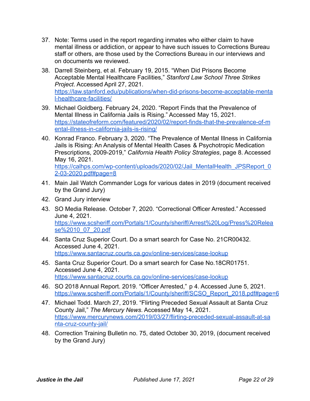- <span id="page-21-0"></span>37. Note: Terms used in the report regarding inmates who either claim to have mental illness or addiction, or appear to have such issues to Corrections Bureau staff or others, are those used by the Corrections Bureau in our interviews and on documents we reviewed.
- <span id="page-21-1"></span>38. Darrell Steinberg, et al. February 19, 2015. "When Did Prisons Become Acceptable Mental Healthcare Facilities," *Stanford Law School Three Strikes Project*. Accessed April 27, 2021. [https://law.stanford.edu/publications/when-did-prisons-become-acceptable-menta](https://law.stanford.edu/publications/when-did-prisons-become-acceptable-mental-healthcare-facilities/) [l-healthcare-facilities/](https://law.stanford.edu/publications/when-did-prisons-become-acceptable-mental-healthcare-facilities/)
- <span id="page-21-2"></span>39. Michael Goldberg. February 24, 2020. "Report Finds that the Prevalence of Mental Illness in California Jails is Rising." Accessed May 15, 2021. [https://stateofreform.com/featured/2020/02/report-finds-that-the-prevalence-of-m](https://stateofreform.com/featured/2020/02/report-finds-that-the-prevalence-of-mental-illness-in-california-jails-is-rising/) [ental-illness-in-california-jails-is-rising/](https://stateofreform.com/featured/2020/02/report-finds-that-the-prevalence-of-mental-illness-in-california-jails-is-rising/)
- <span id="page-21-3"></span>40. Konrad Franco. February 3, 2020. "The Prevalence of Mental Illness in California Jails is Rising: An Analysis of Mental Health Cases & Psychotropic Medication Prescriptions, 2009-2019," *California Health Policy Strategies*, page 8. Accessed May 16, 2021.

[https://calhps.com/wp-content/uploads/2020/02/Jail\\_MentalHealth\\_JPSReport\\_0](https://calhps.com/wp-content/uploads/2020/02/Jail_MentalHealth_JPSReport_02-03-2020.pdf#page=8) [2-03-2020.pdf#page=8](https://calhps.com/wp-content/uploads/2020/02/Jail_MentalHealth_JPSReport_02-03-2020.pdf#page=8)

- <span id="page-21-4"></span>41. Main Jail Watch Commander Logs for various dates in 2019 (document received by the Grand Jury)
- <span id="page-21-5"></span>42. Grand Jury interview
- <span id="page-21-6"></span>43. SO Media Release. October 7, 2020. "Correctional Officer Arrested." Accessed June 4, 2021. [https://www.scsheriff.com/Portals/1/County/sheriff/Arrest%20Log/Press%20Relea](https://www.scsheriff.com/Portals/1/County/sheriff/Arrest%20Log/Press%20Release%2010_07_20.pdf) [se%2010\\_07\\_20.pdf](https://www.scsheriff.com/Portals/1/County/sheriff/Arrest%20Log/Press%20Release%2010_07_20.pdf)
- <span id="page-21-7"></span>44. Santa Cruz Superior Court. Do a smart search for Case No. 21CR00432. Accessed June 4, 2021. <https://www.santacruz.courts.ca.gov/online-services/case-lookup>
- <span id="page-21-8"></span>45. Santa Cruz Superior Court. Do a smart search for Case No.18CR01751. Accessed June 4, 2021. <https://www.santacruz.courts.ca.gov/online-services/case-lookup>
- <span id="page-21-9"></span>46. SO 2018 Annual Report. 2019. "Officer Arrested," p 4. Accessed June 5, 2021. [https://www.scsheriff.com/Portals/1/County/sheriff/SCSO\\_Report\\_2018.pdf#page=6](https://www.scsheriff.com/Portals/1/County/sheriff/SCSO_Report_2018.pdf#page=6)
- <span id="page-21-10"></span>47. Michael Todd. March 27, 2019. "Flirting Preceded Sexual Assault at Santa Cruz County Jail," *The Mercury News*. Accessed May 14, 2021. [https://www.mercurynews.com/2019/03/27/flirting-preceded-sexual-assault-at-sa](https://www.mercurynews.com/2019/03/27/flirting-preceded-sexual-assault-at-santa-cruz-county-jail/) [nta-cruz-county-jail/](https://www.mercurynews.com/2019/03/27/flirting-preceded-sexual-assault-at-santa-cruz-county-jail/)
- <span id="page-21-11"></span>48. Correction Training Bulletin no. 75, dated October 30, 2019, (document received by the Grand Jury)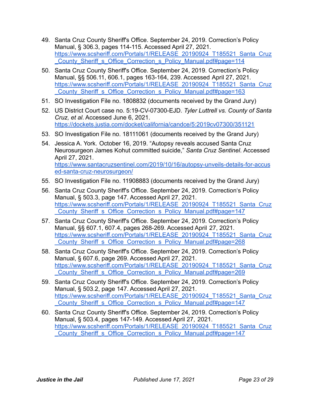- <span id="page-22-0"></span>49. Santa Cruz County Sheriff's Office. September 24, 2019. Correction's Policy Manual, § 306.3, pages 114-115. Accessed April 27, 2021. [https://www.scsheriff.com/Portals/1/RELEASE\\_20190924\\_T185521\\_Santa\\_Cruz](https://www.scsheriff.com/Portals/1/RELEASE_20190924_T185521_Santa_Cruz_County_Sheriff_s_Office_Correction_s_Policy_Manual.pdf#page=114) [\\_County\\_Sheriff\\_s\\_Office\\_Correction\\_s\\_Policy\\_Manual.pdf#page=114](https://www.scsheriff.com/Portals/1/RELEASE_20190924_T185521_Santa_Cruz_County_Sheriff_s_Office_Correction_s_Policy_Manual.pdf#page=114)
- <span id="page-22-1"></span>50. Santa Cruz County Sheriff's Office. September 24, 2019. Correction's Policy Manual, §§ 506.11, 606.1, pages 163-164, 239. Accessed April 27, 2021. [https://www.scsheriff.com/Portals/1/RELEASE\\_20190924\\_T185521\\_Santa\\_Cruz](https://www.scsheriff.com/Portals/1/RELEASE_20190924_T185521_Santa_Cruz_County_Sheriff_s_Office_Correction_s_Policy_Manual.pdf#page=163) County\_Sheriff\_s\_Office\_Correction\_s\_Policy\_Manual.pdf#page=163
- <span id="page-22-2"></span>51. SO Investigation File no. 1808832 (documents received by the Grand Jury)
- <span id="page-22-3"></span>52. US District Court case no. 5:19-CV-07300-EJD. *Tyler Luttrell vs. County of Santa Cruz, et al*. Accessed June 6, 2021. <https://dockets.justia.com/docket/california/candce/5:2019cv07300/351121>
- <span id="page-22-4"></span>53. SO Investigation File no. 18111061 (documents received by the Grand Jury)
- <span id="page-22-5"></span>54. Jessica A. York. October 16, 2019. "Autopsy reveals accused Santa Cruz Neurosurgeon James Kohut committed suicide," *Santa Cruz Sentinel*. Accessed April 27, 2021. [https://www.santacruzsentinel.com/2019/10/16/autopsy-unveils-details-for-accus](https://www.santacruzsentinel.com/2019/10/16/autopsy-unveils-details-for-accused-santa-cruz-neurosurgeon/) [ed-santa-cruz-neurosurgeon/](https://www.santacruzsentinel.com/2019/10/16/autopsy-unveils-details-for-accused-santa-cruz-neurosurgeon/)
- <span id="page-22-6"></span>55. SO Investigation File no. 11908883 (documents received by the Grand Jury)
- <span id="page-22-7"></span>56. Santa Cruz County Sheriff's Office. September 24, 2019. Correction's Policy Manual, § 503.3, page 147. Accessed April 27, 2021. [https://www.scsheriff.com/Portals/1/RELEASE\\_20190924\\_T185521\\_Santa\\_Cruz](https://www.scsheriff.com/Portals/1/RELEASE_20190924_T185521_Santa_Cruz_County_Sheriff_s_Office_Correction_s_Policy_Manual.pdf#page=147) County Sheriff s Office Correction s Policy Manual.pdf#page=147
- <span id="page-22-8"></span>57. Santa Cruz County Sheriff's Office. September 24, 2019. Correction's Policy Manual, §§ 607.1, 607.4, pages 268-269. Accessed April 27, 2021. [https://www.scsheriff.com/Portals/1/RELEASE\\_20190924\\_T185521\\_Santa\\_Cruz](https://www.scsheriff.com/Portals/1/RELEASE_20190924_T185521_Santa_Cruz_County_Sheriff_s_Office_Correction_s_Policy_Manual.pdf#page=268) [\\_County\\_Sheriff\\_s\\_Office\\_Correction\\_s\\_Policy\\_Manual.pdf#page=268](https://www.scsheriff.com/Portals/1/RELEASE_20190924_T185521_Santa_Cruz_County_Sheriff_s_Office_Correction_s_Policy_Manual.pdf#page=268)
- <span id="page-22-9"></span>58. Santa Cruz County Sheriff's Office. September 24, 2019. Correction's Policy Manual, § 607.6, page 269. Accessed April 27, 2021. [https://www.scsheriff.com/Portals/1/RELEASE\\_20190924\\_T185521\\_Santa\\_Cruz](https://www.scsheriff.com/Portals/1/RELEASE_20190924_T185521_Santa_Cruz_County_Sheriff_s_Office_Correction_s_Policy_Manual.pdf#page=269) [\\_County\\_Sheriff\\_s\\_Office\\_Correction\\_s\\_Policy\\_Manual.pdf#page=269](https://www.scsheriff.com/Portals/1/RELEASE_20190924_T185521_Santa_Cruz_County_Sheriff_s_Office_Correction_s_Policy_Manual.pdf#page=269)
- <span id="page-22-10"></span>59. Santa Cruz County Sheriff's Office. September 24, 2019. Correction's Policy Manual, § 503.2, page 147. Accessed April 27, 2021. [https://www.scsheriff.com/Portals/1/RELEASE\\_20190924\\_T185521\\_Santa\\_Cruz](https://www.scsheriff.com/Portals/1/RELEASE_20190924_T185521_Santa_Cruz_County_Sheriff_s_Office_Correction_s_Policy_Manual.pdf#page=147) County Sheriff s Office Correction s Policy Manual.pdf#page=147
- <span id="page-22-11"></span>60. Santa Cruz County Sheriff's Office. September 24, 2019. Correction's Policy Manual, § 503.4, pages 147-149. Accessed April 27, 2021. [https://www.scsheriff.com/Portals/1/RELEASE\\_20190924\\_T185521\\_Santa\\_Cruz](https://www.scsheriff.com/Portals/1/RELEASE_20190924_T185521_Santa_Cruz_County_Sheriff_s_Office_Correction_s_Policy_Manual.pdf#page=147) [\\_County\\_Sheriff\\_s\\_Office\\_Correction\\_s\\_Policy\\_Manual.pdf#page=147](https://www.scsheriff.com/Portals/1/RELEASE_20190924_T185521_Santa_Cruz_County_Sheriff_s_Office_Correction_s_Policy_Manual.pdf#page=147)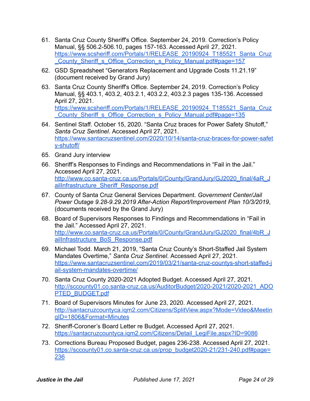- <span id="page-23-0"></span>61. Santa Cruz County Sheriff's Office. September 24, 2019. Correction's Policy Manual, §§ 506.2-506.10, pages 157-163. Accessed April 27, 2021. [https://www.scsheriff.com/Portals/1/RELEASE\\_20190924\\_T185521\\_Santa\\_Cruz](https://www.scsheriff.com/Portals/1/RELEASE_20190924_T185521_Santa_Cruz_County_Sheriff_s_Office_Correction_s_Policy_Manual.pdf#page=157) [\\_County\\_Sheriff\\_s\\_Office\\_Correction\\_s\\_Policy\\_Manual.pdf#page=157](https://www.scsheriff.com/Portals/1/RELEASE_20190924_T185521_Santa_Cruz_County_Sheriff_s_Office_Correction_s_Policy_Manual.pdf#page=157)
- <span id="page-23-1"></span>62. GSD Spreadsheet "Generators Replacement and Upgrade Costs 11.21.19" (document received by Grand Jury)
- <span id="page-23-2"></span>63. Santa Cruz County Sheriff's Office. September 24, 2019. Correction's Policy Manual, §§ 403.1, 403.2, 403.2.1, 403.2.2, 403.2.3 pages 135-136. Accessed April 27, 2021. [https://www.scsheriff.com/Portals/1/RELEASE\\_20190924\\_T185521\\_Santa\\_Cruz](https://www.scsheriff.com/Portals/1/RELEASE_20190924_T185521_Santa_Cruz_County_Sheriff_s_Office_Correction_s_Policy_Manual.pdf#page=135) County Sheriff s Office Correction s Policy Manual.pdf#page=135
- <span id="page-23-3"></span>64. Sentinel Staff. October 15, 2020. "Santa Cruz braces for Power Safety Shutoff," *Santa Cruz Sentinel*. Accessed April 27, 2021. [https://www.santacruzsentinel.com/2020/10/14/santa-cruz-braces-for-power-safet](https://www.santacruzsentinel.com/2020/10/14/santa-cruz-braces-for-power-safety-shutoff/) [y-shutoff/](https://www.santacruzsentinel.com/2020/10/14/santa-cruz-braces-for-power-safety-shutoff/)
- <span id="page-23-4"></span>65. Grand Jury interview
- <span id="page-23-5"></span>66. Sheriff's Responses to Findings and Recommendations in "Fail in the Jail." Accessed April 27, 2021. [http://www.co.santa-cruz.ca.us/Portals/0/County/GrandJury/GJ2020\\_final/4aR\\_J](http://www.co.santa-cruz.ca.us/Portals/0/County/GrandJury/GJ2020_final/4aR_JailInfrastructure_Sheriff_Response.pdf) [ailInfrastructure\\_Sheriff\\_Response.pdf](http://www.co.santa-cruz.ca.us/Portals/0/County/GrandJury/GJ2020_final/4aR_JailInfrastructure_Sheriff_Response.pdf)
- <span id="page-23-6"></span>67. County of Santa Cruz General Services Department. *Government Center/Jail Power Outage 9.28-9.29.2019 After-Action Report/Improvement Plan 10/3/2019*, (documents received by the Grand Jury)
- <span id="page-23-7"></span>68. Board of Supervisors Responses to Findings and Recommendations in "Fail in the Jail." Accessed April 27, 2021. [http://www.co.santa-cruz.ca.us/Portals/0/County/GrandJury/GJ2020\\_final/4bR\\_J](http://www.co.santa-cruz.ca.us/Portals/0/County/GrandJury/GJ2020_final/4bR_JailInfrastructure_BoS_Response.pdf) [ailInfrastructure\\_BoS\\_Response.pdf](http://www.co.santa-cruz.ca.us/Portals/0/County/GrandJury/GJ2020_final/4bR_JailInfrastructure_BoS_Response.pdf)
- <span id="page-23-8"></span>69. Michael Todd. March 21, 2019, "Santa Cruz County's Short-Staffed Jail System Mandates Overtime," *Santa Cruz Sentinel*. Accessed April 27, 2021. [https://www.santacruzsentinel.com/2019/03/21/santa-cruz-countys-short-staffed-j](https://www.santacruzsentinel.com/2019/03/21/santa-cruz-countys-short-staffed-jail-system-mandates-overtime/) [ail-system-mandates-overtime/](https://www.santacruzsentinel.com/2019/03/21/santa-cruz-countys-short-staffed-jail-system-mandates-overtime/)
- <span id="page-23-9"></span>70. Santa Cruz County 2020-2021 Adopted Budget. Accessed April 27, 2021. [http://sccounty01.co.santa-cruz.ca.us/AuditorBudget/2020-2021/2020-2021\\_ADO](http://sccounty01.co.santa-cruz.ca.us/AuditorBudget/2020-2021/2020-2021_ADOPTED_BUDGET.pdf) [PTED\\_BUDGET.pdf](http://sccounty01.co.santa-cruz.ca.us/AuditorBudget/2020-2021/2020-2021_ADOPTED_BUDGET.pdf)
- <span id="page-23-10"></span>71. Board of Supervisors Minutes for June 23, 2020. Accessed April 27, 2021. [http://santacruzcountyca.iqm2.com/Citizens/SplitView.aspx?Mode=Video&Meetin](http://santacruzcountyca.iqm2.com/Citizens/SplitView.aspx?Mode=Video&MeetingID=1806&Format=Minutes) [gID=1806&Format=Minutes](http://santacruzcountyca.iqm2.com/Citizens/SplitView.aspx?Mode=Video&MeetingID=1806&Format=Minutes)
- <span id="page-23-11"></span>72. Sheriff-Coroner's Board Letter re Budget. Accessed April 27, 2021. [https://santacruzcountyca.iqm2.com/Citizens/Detail\\_LegiFile.aspx?ID=9086](https://santacruzcountyca.iqm2.com/Citizens/Detail_LegiFile.aspx?ID=9086)
- <span id="page-23-12"></span>73. Corrections Bureau Proposed Budget, pages 236-238. Accessed April 27, 2021. [https://sccounty01.co.santa-cruz.ca.us/prop\\_budget2020-21/231-240.pdf#page=](https://sccounty01.co.santa-cruz.ca.us/prop_budget2020-21/231-240.pdf#page=236) [236](https://sccounty01.co.santa-cruz.ca.us/prop_budget2020-21/231-240.pdf#page=236)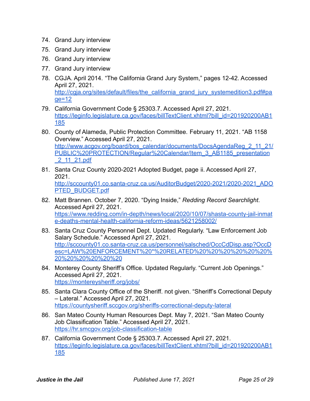- <span id="page-24-0"></span>74. Grand Jury interview
- <span id="page-24-1"></span>75. Grand Jury interview
- <span id="page-24-2"></span>76. Grand Jury interview
- <span id="page-24-3"></span>77. Grand Jury interview
- <span id="page-24-4"></span>78. CGJA. April 2014. "The California Grand Jury System," pages 12-42. Accessed April 27, 2021. [http://cgja.org/sites/default/files/the\\_california\\_grand\\_jury\\_systemedition3.pdf#pa](http://cgja.org/sites/default/files/the_california_grand_jury_systemedition3.pdf#page=12) [ge=12](http://cgja.org/sites/default/files/the_california_grand_jury_systemedition3.pdf#page=12)
- <span id="page-24-5"></span>79. California Government Code § 25303.7. Accessed April 27, 2021. [https://leginfo.legislature.ca.gov/faces/billTextClient.xhtml?bill\\_id=201920200AB1](https://leginfo.legislature.ca.gov/faces/billTextClient.xhtml?bill_id=201920200AB1185) [185](https://leginfo.legislature.ca.gov/faces/billTextClient.xhtml?bill_id=201920200AB1185)
- <span id="page-24-6"></span>80. County of Alameda, Public Protection Committee. February 11, 2021. "AB 1158 Overview." Accessed April 27, 2021. [http://www.acgov.org/board/bos\\_calendar/documents/DocsAgendaReg\\_2\\_11\\_21/](http://www.acgov.org/board/bos_calendar/documents/DocsAgendaReg_2_11_21/PUBLIC%20PROTECTION/Regular%20Calendar/Item_3_AB1185_presentation_2_11_21.pdf) [PUBLIC%20PROTECTION/Regular%20Calendar/Item\\_3\\_AB1185\\_presentation](http://www.acgov.org/board/bos_calendar/documents/DocsAgendaReg_2_11_21/PUBLIC%20PROTECTION/Regular%20Calendar/Item_3_AB1185_presentation_2_11_21.pdf) [\\_2\\_11\\_21.pdf](http://www.acgov.org/board/bos_calendar/documents/DocsAgendaReg_2_11_21/PUBLIC%20PROTECTION/Regular%20Calendar/Item_3_AB1185_presentation_2_11_21.pdf)
- <span id="page-24-7"></span>81. Santa Cruz County 2020-2021 Adopted Budget, page ii. Accessed April 27, 2021. [http://sccounty01.co.santa-cruz.ca.us/AuditorBudget/2020-2021/2020-2021\\_ADO](http://sccounty01.co.santa-cruz.ca.us/AuditorBudget/2020-2021/2020-2021_ADOPTED_BUDGET.pdf) [PTED\\_BUDGET.pdf](http://sccounty01.co.santa-cruz.ca.us/AuditorBudget/2020-2021/2020-2021_ADOPTED_BUDGET.pdf)
- <span id="page-24-8"></span>82. Matt Brannen. October 7, 2020. "Dying Inside," *Redding Record Searchlight*. Accessed April 27, 2021. [https://www.redding.com/in-depth/news/local/2020/10/07/shasta-county-jail-inmat](https://www.redding.com/in-depth/news/local/2020/10/07/shasta-county-jail-inmate-deaths-mental-health-california-reform-ideas/5621258002/) [e-deaths-mental-health-california-reform-ideas/5621258002/](https://www.redding.com/in-depth/news/local/2020/10/07/shasta-county-jail-inmate-deaths-mental-health-california-reform-ideas/5621258002/)
- <span id="page-24-9"></span>83. Santa Cruz County Personnel Dept. Updated Regularly. "Law Enforcement Job Salary Schedule." Accessed April 27, 2021. [http://sccounty01.co.santa-cruz.ca.us/personnel/salsched/OccCdDisp.asp?OccD](http://sccounty01.co.santa-cruz.ca.us/personnel/salsched/OccCdDisp.asp?OccDesc=LAW%20ENFORCEMENT%20*%20RELATED%20%20%20%20%20%20%20%20%20%20%20%20) [esc=LAW%20ENFORCEMENT%20\\*%20RELATED%20%20%20%20%20%20%](http://sccounty01.co.santa-cruz.ca.us/personnel/salsched/OccCdDisp.asp?OccDesc=LAW%20ENFORCEMENT%20*%20RELATED%20%20%20%20%20%20%20%20%20%20%20%20) [20%20%20%20%20%20](http://sccounty01.co.santa-cruz.ca.us/personnel/salsched/OccCdDisp.asp?OccDesc=LAW%20ENFORCEMENT%20*%20RELATED%20%20%20%20%20%20%20%20%20%20%20%20)
- <span id="page-24-10"></span>84. Monterey County Sheriff's Office. Updated Regularly. "Current Job Openings." Accessed April 27, 2021. <https://montereysheriff.org/jobs/>
- <span id="page-24-11"></span>85. Santa Clara County Office of the Sheriff. not given. "Sheriff's Correctional Deputy – Lateral." Accessed April 27, 2021. <https://countysheriff.sccgov.org/sheriffs-correctional-deputy-lateral>
- <span id="page-24-12"></span>86. San Mateo County Human Resources Dept. May 7, 2021. "San Mateo County Job Classification Table." Accessed April 27, 2021. <https://hr.smcgov.org/job-classification-table>
- <span id="page-24-13"></span>87. California Government Code § 25303.7. Accessed April 27, 2021. [https://leginfo.legislature.ca.gov/faces/billTextClient.xhtml?bill\\_id=201920200AB1](https://leginfo.legislature.ca.gov/faces/billTextClient.xhtml?bill_id=201920200AB1185) [185](https://leginfo.legislature.ca.gov/faces/billTextClient.xhtml?bill_id=201920200AB1185)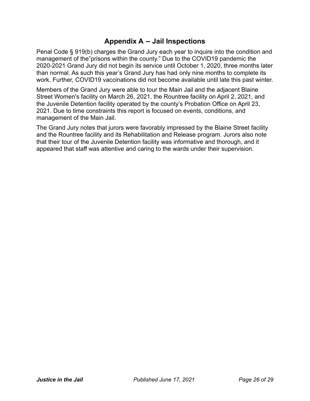## **Appendix A – Jail Inspections**

<span id="page-25-0"></span>Penal Code § 919(b) charges the Grand Jury each year to inquire into the condition and management of the"prisons within the county." Due to the COVID19 pandemic the 2020-2021 Grand Jury did not begin its service until October 1, 2020, three months later than normal. As such this year's Grand Jury has had only nine months to complete its work. Further, COVID19 vaccinations did not become available until late this past winter.

Members of the Grand Jury were able to tour the Main Jail and the adjacent Blaine Street Women's facility on March 26, 2021, the Rountree facility on April 2, 2021, and the Juvenile Detention facility operated by the county's Probation Office on April 23, 2021. Due to time constraints this report is focused on events, conditions, and management of the Main Jail.

The Grand Jury notes that jurors were favorably impressed by the Blaine Street facility and the Rountree facility and its Rehabilitation and Release program. Jurors also note that their tour of the Juvenile Detention facility was informative and thorough, and it appeared that staff was attentive and caring to the wards under their supervision.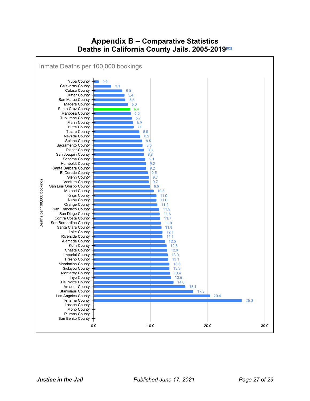## **Appendix B – Comparative Statistics Deaths in California County Jails, 2005-2019** [\[82\]](#page-24-8)

<span id="page-26-0"></span>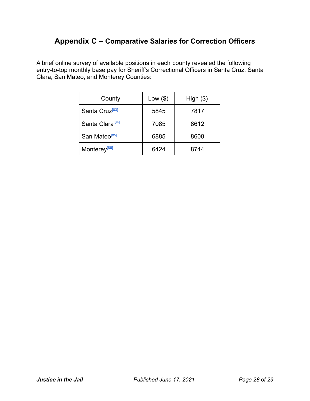## <span id="page-27-0"></span>**Appendix C – Comparative Salaries for Correction Officers**

A brief online survey of available positions in each county revealed the following entry-to-top monthly base pay for Sheriff's Correctional Officers in Santa Cruz, Santa Clara, San Mateo, and Monterey Counties:

| County                      | Low (\$) | High (\$) |
|-----------------------------|----------|-----------|
| Santa Cruz <sup>[83]</sup>  | 5845     | 7817      |
| Santa Clara <sup>[84]</sup> | 7085     | 8612      |
| San Mateo <sup>[85]</sup>   | 6885     | 8608      |
| Monterey <sup>[86]</sup>    | 6424     | 8744      |